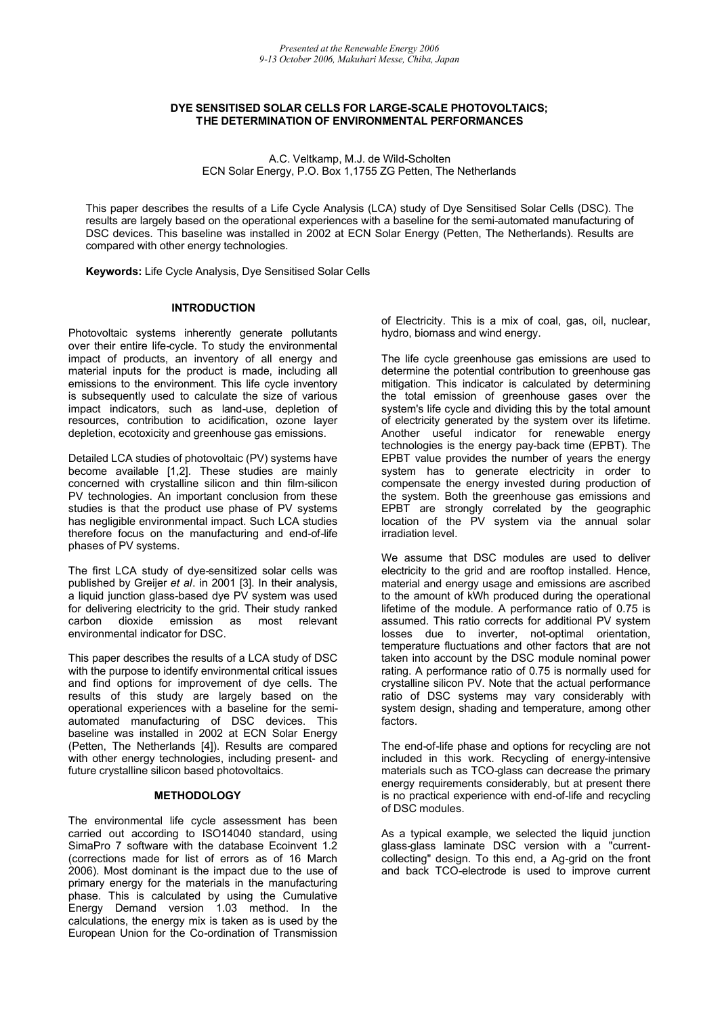### **DYE SENSITISED SOLAR CELLS FOR LARGE-SCALE PHOTOVOLTAICS; THE DETERMINATION OF ENVIRONMENTAL PERFORMANCES**

A.C. Veltkamp, M.J. de Wild-Scholten ECN Solar Energy, P.O. Box 1,1755 ZG Petten, The Netherlands

This paper describes the results of a Life Cycle Analysis (LCA) study of Dye Sensitised Solar Cells (DSC). The results are largely based on the operational experiences with a baseline for the semi-automated manufacturing of DSC devices. This baseline was installed in 2002 at ECN Solar Energy (Petten, The Netherlands). Results are compared with other energy technologies.

**Keywords:** Life Cycle Analysis, Dye Sensitised Solar Cells

### **INTRODUCTION**

Photovoltaic systems inherently generate pollutants over their entire life-cycle. To study the environmental impact of products, an inventory of all energy and material inputs for the product is made, including all emissions to the environment. This life cycle inventory is subsequently used to calculate the size of various impact indicators, such as land-use, depletion of resources, contribution to acidification, ozone layer depletion, ecotoxicity and greenhouse gas emissions.

Detailed LCA studies of photovoltaic (PV) systems have become available [1,2]. These studies are mainly concerned with crystalline silicon and thin film-silicon PV technologies. An important conclusion from these studies is that the product use phase of PV systems has negligible environmental impact. Such LCA studies therefore focus on the manufacturing and end-of-life phases of PV systems.

The first LCA study of dye-sensitized solar cells was published by Greijer *et al*. in 2001 [3]. In their analysis, a liquid junction glass-based dye PV system was used for delivering electricity to the grid. Their study ranked<br>carbon dioxide emission as most relevant most relevant environmental indicator for DSC.

This paper describes the results of a LCA study of DSC with the purpose to identify environmental critical issues and find options for improvement of dye cells. The results of this study are largely based on the operational experiences with a baseline for the semiautomated manufacturing of DSC devices. This baseline was installed in 2002 at ECN Solar Energy (Petten, The Netherlands [4]). Results are compared with other energy technologies, including present- and future crystalline silicon based photovoltaics.

### **METHODOLOGY**

The environmental life cycle assessment has been carried out according to ISO14040 standard, using SimaPro 7 software with the database Ecoinvent 1.2 (corrections made for list of errors as of 16 March 2006). Most dominant is the impact due to the use of primary energy for the materials in the manufacturing phase. This is calculated by using the Cumulative Energy Demand version 1.03 method. In the calculations, the energy mix is taken as is used by the European Union for the Co-ordination of Transmission of Electricity. This is a mix of coal, gas, oil, nuclear, hydro, biomass and wind energy.

The life cycle greenhouse gas emissions are used to determine the potential contribution to greenhouse gas mitigation. This indicator is calculated by determining the total emission of greenhouse gases over the system's life cycle and dividing this by the total amount of electricity generated by the system over its lifetime. Another useful indicator for renewable energy technologies is the energy pay-back time (EPBT). The EPBT value provides the number of years the energy system has to generate electricity in order to compensate the energy invested during production of the system. Both the greenhouse gas emissions and EPBT are strongly correlated by the geographic location of the PV system via the annual solar irradiation level.

We assume that DSC modules are used to deliver electricity to the grid and are rooftop installed. Hence, material and energy usage and emissions are ascribed to the amount of kWh produced during the operational lifetime of the module. A performance ratio of 0.75 is assumed. This ratio corrects for additional PV system losses due to inverter, not-optimal orientation, temperature fluctuations and other factors that are not taken into account by the DSC module nominal power rating. A performance ratio of 0.75 is normally used for crystalline silicon PV. Note that the actual performance ratio of DSC systems may vary considerably with system design, shading and temperature, among other factors.

The end-of-life phase and options for recycling are not included in this work. Recycling of energy-intensive materials such as TCO-glass can decrease the primary energy requirements considerably, but at present there is no practical experience with end-of-life and recycling of DSC modules.

As a typical example, we selected the liquid junction glass-glass laminate DSC version with a "currentcollecting" design. To this end, a Ag-grid on the front and back TCO-electrode is used to improve current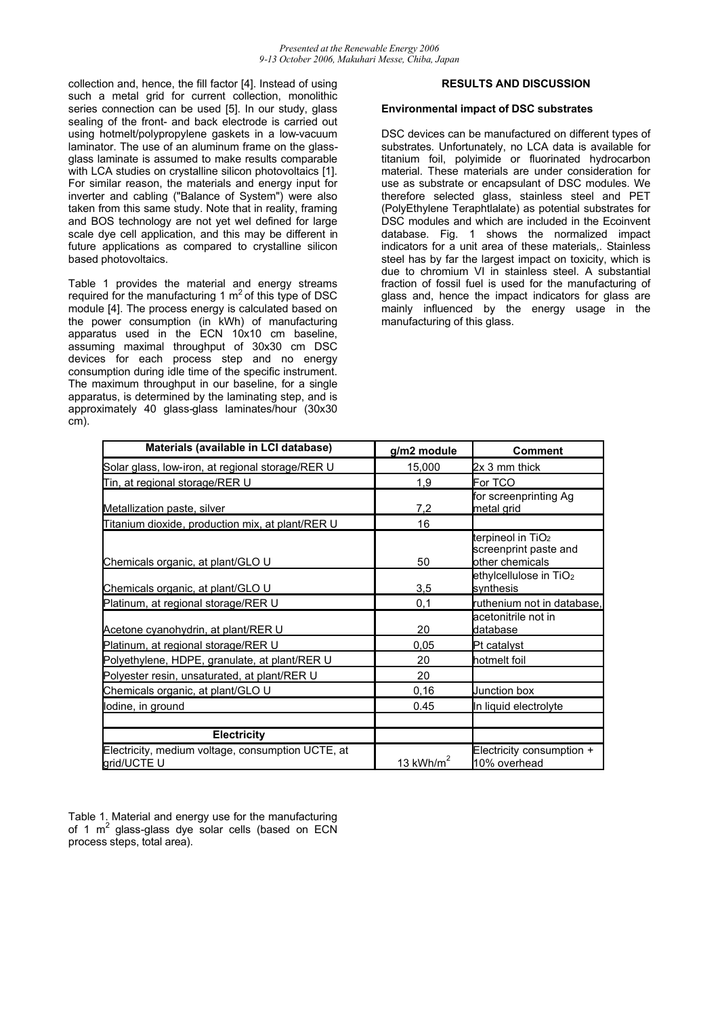collection and, hence, the fill factor [4]. Instead of using such a metal grid for current collection, monolithic series connection can be used [5]. In our study, glass sealing of the front- and back electrode is carried out using hotmelt/polypropylene gaskets in a low-vacuum laminator. The use of an aluminum frame on the glassglass laminate is assumed to make results comparable with LCA studies on crystalline silicon photovoltaics [1]. For similar reason, the materials and energy input for inverter and cabling ("Balance of System") were also taken from this same study. Note that in reality, framing and BOS technology are not yet wel defined for large scale dye cell application, and this may be different in future applications as compared to crystalline silicon based photovoltaics.

Table 1 provides the material and energy streams required for the manufacturing 1  $m<sup>2</sup>$  of this type of DSC module [4]. The process energy is calculated based on the power consumption (in kWh) of manufacturing apparatus used in the ECN 10x10 cm baseline, assuming maximal throughput of 30x30 cm DSC devices for each process step and no energy consumption during idle time of the specific instrument. The maximum throughput in our baseline, for a single apparatus, is determined by the laminating step, and is approximately 40 glass-glass laminates/hour (30x30 cm).

# **RESULTS AND DISCUSSION**

### **Environmental impact of DSC substrates**

DSC devices can be manufactured on different types of substrates. Unfortunately, no LCA data is available for titanium foil, polyimide or fluorinated hydrocarbon material. These materials are under consideration for use as substrate or encapsulant of DSC modules. We therefore selected glass, stainless steel and PET (PolyEthylene Teraphtlalate) as potential substrates for DSC modules and which are included in the Ecoinvent database. Fig. 1 shows the normalized impact indicators for a unit area of these materials,. Stainless steel has by far the largest impact on toxicity, which is due to chromium VI in stainless steel. A substantial fraction of fossil fuel is used for the manufacturing of glass and, hence the impact indicators for glass are mainly influenced by the energy usage in the manufacturing of this glass.

| Materials (available in LCI database)                            | g/m2 module | <b>Comment</b>                                                            |
|------------------------------------------------------------------|-------------|---------------------------------------------------------------------------|
| Solar glass, low-iron, at regional storage/RER U                 | 15,000      | 2x 3 mm thick                                                             |
| Tin, at regional storage/RER U                                   | 1,9         | For TCO                                                                   |
| Metallization paste, silver                                      | 7,2         | for screenprinting Ag<br>metal grid                                       |
| Titanium dioxide, production mix, at plant/RER U                 | 16          |                                                                           |
| Chemicals organic, at plant/GLO U                                | 50          | terpineol in TiO <sub>2</sub><br>screenprint paste and<br>other chemicals |
| Chemicals organic, at plant/GLO U                                | 3,5         | ethylcellulose in TiO <sub>2</sub><br>synthesis                           |
| Platinum, at regional storage/RER U                              | 0,1         | ruthenium not in database,                                                |
| Acetone cyanohydrin, at plant/RER U                              | 20          | acetonitrile not in<br>database                                           |
| Platinum, at regional storage/RER U                              | 0.05        | Pt catalyst                                                               |
| Polyethylene, HDPE, granulate, at plant/RER U                    | 20          | hotmelt foil                                                              |
| Polyester resin, unsaturated, at plant/RER U                     | 20          |                                                                           |
| Chemicals organic, at plant/GLO U                                | 0, 16       | Junction box                                                              |
| lodine, in ground                                                | 0.45        | In liquid electrolyte                                                     |
| <b>Electricity</b>                                               |             |                                                                           |
| Electricity, medium voltage, consumption UCTE, at<br>grid/UCTE U | 13 $kWh/m2$ | Electricity consumption +<br>10% overhead                                 |

Table 1. Material and energy use for the manufacturing of 1  $m^2$  glass-glass dye solar cells (based on ECN process steps, total area).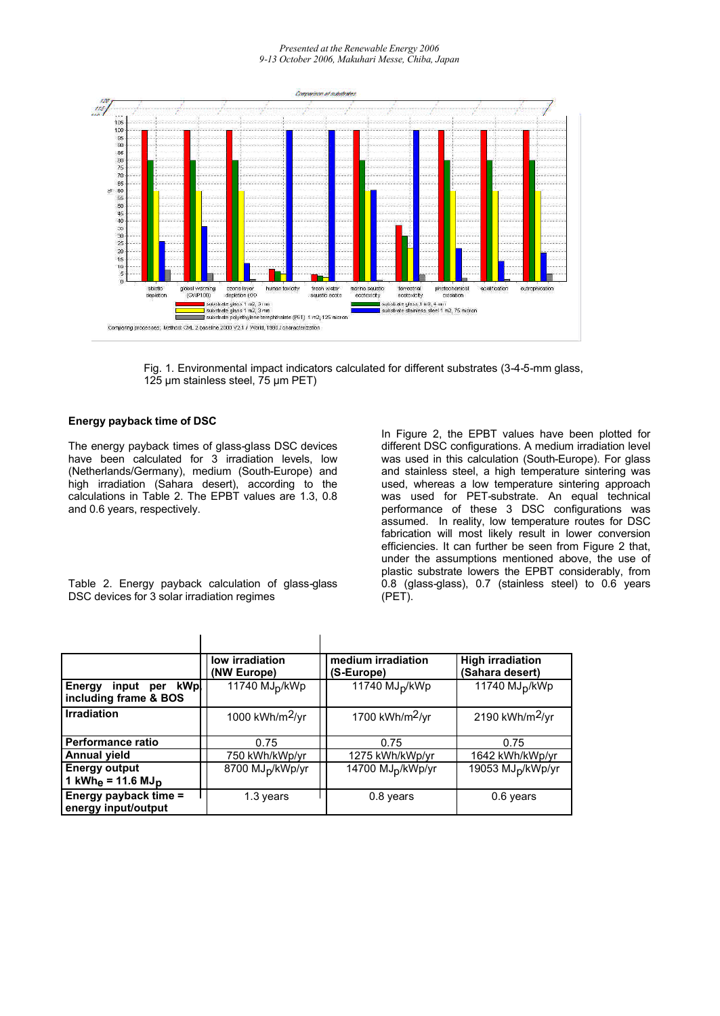#### *Presented at the Renewable Energy 2006 9-13 October 2006, Makuhari Messe, Chiba, Japan*



Fig. 1. Environmental impact indicators calculated for different substrates (3-4-5-mm glass, 125 μm stainless steel, 75 μm PET)

#### **Energy payback time of DSC**

The energy payback times of glass-glass DSC devices have been calculated for 3 irradiation levels, low (Netherlands/Germany), medium (South-Europe) and high irradiation (Sahara desert), according to the calculations in Table 2. The EPBT values are 1.3, 0.8 and 0.6 years, respectively.

In Figure 2, the EPBT values have been plotted for different DSC configurations. A medium irradiation level was used in this calculation (South-Europe). For glass and stainless steel, a high temperature sintering was used, whereas a low temperature sintering approach was used for PET-substrate. An equal technical performance of these 3 DSC configurations was assumed. In reality, low temperature routes for DSC fabrication will most likely result in lower conversion efficiencies. It can further be seen from Figure 2 that, under the assumptions mentioned above, the use of plastic substrate lowers the EPBT considerably, from 0.8 (glass-glass), 0.7 (stainless steel) to 0.6 years (PET).

Table 2. Energy payback calculation of glass-glass DSC devices for 3 solar irradiation regimes

|                                                          | low irradiation<br>(NW Europe) | medium irradiation<br>(S-Europe) | <b>High irradiation</b><br>(Sahara desert) |
|----------------------------------------------------------|--------------------------------|----------------------------------|--------------------------------------------|
| input per kWp<br><b>Energy</b><br>including frame & BOS  | 11740 MJ <sub>D</sub> /kWp     | 11740 MJ <sub>D</sub> /kWp       | 11740 MJ <sub>D</sub> /kWp                 |
| <b>Irradiation</b>                                       | 1000 kWh/m $2/yr$              | 1700 kWh/m <sup>2</sup> /yr      | 2190 kWh/m <sup>2</sup> /yr                |
| Performance ratio                                        | 0.75                           | 0.75                             | 0.75                                       |
| <b>Annual yield</b>                                      | 750 kWh/kWp/yr                 | 1275 kWh/kWp/yr                  | 1642 kWh/kWp/yr                            |
| <b>Energy output</b><br>1 $kWh_e = 11.6$ MJ <sub>p</sub> | 8700 MJ <sub>p</sub> /kWp/yr   | 14700 MJ <sub>D</sub> /kWp/yr    | 19053 MJ <sub>D</sub> /kWp/yr              |
| Energy payback time =<br>energy input/output             | 1.3 years                      | 0.8 years                        | 0.6 years                                  |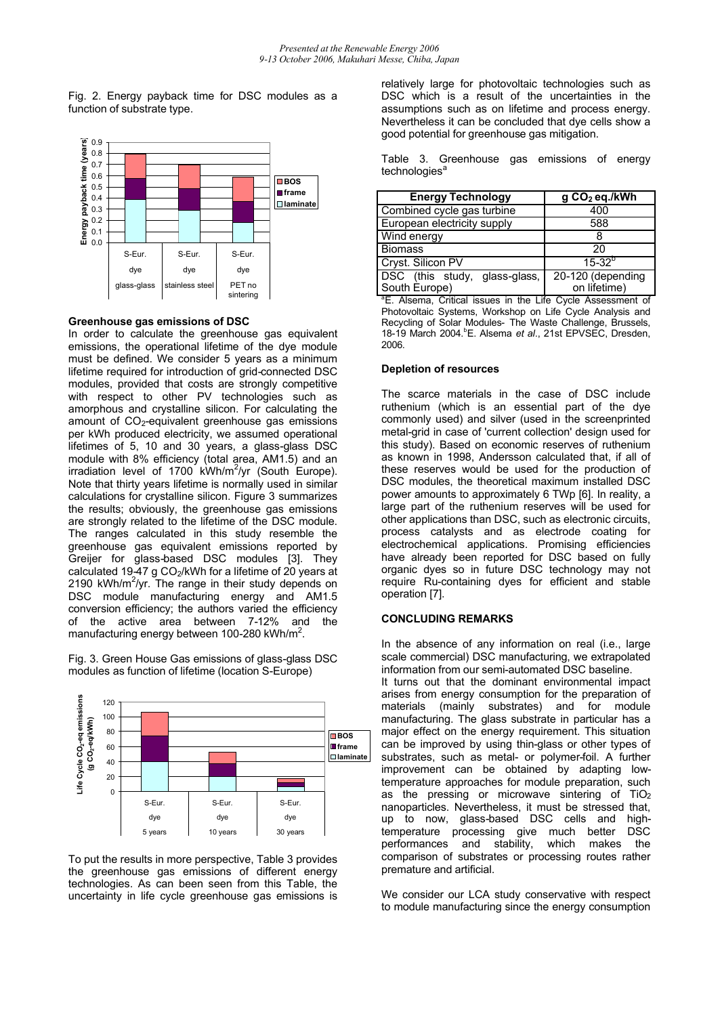Fig. 2. Energy payback time for DSC modules as a function of substrate type.



#### **Greenhouse gas emissions of DSC**

In order to calculate the greenhouse gas equivalent emissions, the operational lifetime of the dye module must be defined. We consider 5 years as a minimum lifetime required for introduction of grid-connected DSC modules, provided that costs are strongly competitive with respect to other PV technologies such as amorphous and crystalline silicon. For calculating the amount of CO<sub>2</sub>-equivalent greenhouse gas emissions per kWh produced electricity, we assumed operational lifetimes of 5, 10 and 30 years, a glass-glass DSC module with 8% efficiency (total area, AM1.5) and an irradiation level of 1700 kWh/m<sup>2</sup>/yr (South Europe). Note that thirty years lifetime is normally used in similar calculations for crystalline silicon. Figure 3 summarizes the results; obviously, the greenhouse gas emissions are strongly related to the lifetime of the DSC module. The ranges calculated in this study resemble the greenhouse gas equivalent emissions reported by Greijer for glass-based DSC modules [3]. They calculated 19-47 g CO<sub>2</sub>/kWh for a lifetime of 20 years at 2190 kWh/m<sup>2</sup>/yr. The range in their study depends on DSC module manufacturing energy and AM1.5 conversion efficiency; the authors varied the efficiency of the active area between 7-12% and the manufacturing energy between 100-280 kWh/m<sup>2</sup>.

Fig. 3. Green House Gas emissions of glass-glass DSC modules as function of lifetime (location S-Europe)



To put the results in more perspective, Table 3 provides the greenhouse gas emissions of different energy technologies. As can been seen from this Table, the uncertainty in life cycle greenhouse gas emissions is relatively large for photovoltaic technologies such as DSC which is a result of the uncertainties in the assumptions such as on lifetime and process energy. Nevertheless it can be concluded that dye cells show a good potential for greenhouse gas mitigation.

Table 3. Greenhouse gas emissions of energy technologies<sup>a</sup>

| <b>Energy Technology</b>      | g CO <sub>2</sub> eq./kWh |
|-------------------------------|---------------------------|
| Combined cycle gas turbine    | 400                       |
| European electricity supply   | 588                       |
| Wind energy                   |                           |
| <b>Biomass</b>                | 20                        |
| Cryst. Silicon PV             | $15 - 32^{p}$             |
| DSC (this study, glass-glass, | 20-120 (depending         |
| South Europe)                 | on lifetime)              |

<sup>a</sup>E. Alsema, Critical issues in the Life Cycle Assessment of Photovoltaic Systems, Workshop on Life Cycle Analysis and Recycling of Solar Modules- The Waste Challenge, Brussels, 18-19 March 2004.<sup>b</sup>E. Alsema *et al*., 21st EPVSEC, Dresden, 2006.

#### **Depletion of resources**

The scarce materials in the case of DSC include ruthenium (which is an essential part of the dye commonly used) and silver (used in the screenprinted metal-grid in case of 'current collection' design used for this study). Based on economic reserves of ruthenium as known in 1998, Andersson calculated that, if all of these reserves would be used for the production of DSC modules, the theoretical maximum installed DSC power amounts to approximately 6 TWp [6]. In reality, a large part of the ruthenium reserves will be used for other applications than DSC, such as electronic circuits, process catalysts and as electrode coating for electrochemical applications. Promising efficiencies have already been reported for DSC based on fully organic dyes so in future DSC technology may not require Ru-containing dyes for efficient and stable operation [7].

# **CONCLUDING REMARKS**

In the absence of any information on real (i.e., large scale commercial) DSC manufacturing, we extrapolated information from our semi-automated DSC baseline.

It turns out that the dominant environmental impact arises from energy consumption for the preparation of materials (mainly substrates) and for module manufacturing. The glass substrate in particular has a major effect on the energy requirement. This situation can be improved by using thin-glass or other types of substrates, such as metal- or polymer-foil. A further improvement can be obtained by adapting lowtemperature approaches for module preparation, such as the pressing or microwave sintering of  $TiO<sub>2</sub>$ nanoparticles. Nevertheless, it must be stressed that, up to now, glass-based DSC cells and hightemperature processing give much better DSC<br>performances and stability, which makes the and stability, which makes the comparison of substrates or processing routes rather premature and artificial.

We consider our LCA study conservative with respect to module manufacturing since the energy consumption